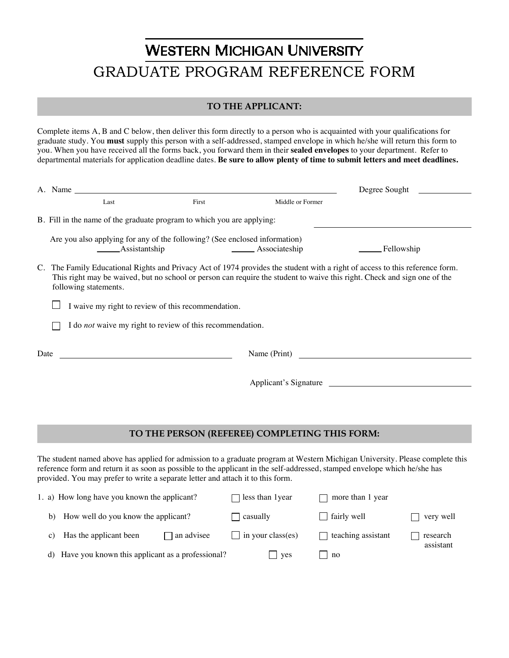## **WESTERN MICHIGAN UNIVERSITY** GRADUATE PROGRAM REFERENCE FORM

## **TO THE APPLICANT:**

Complete items A, B and C below, then deliver this form directly to a person who is acquainted with your qualifications for graduate study. You **must** supply this person with a self-addressed, stamped envelope in which he/she will return this form to you. When you have received all the forms back, you forward them in their **sealed envelopes** to your department. Refer to departmental materials for application deadline dates. **Be sure to allow plenty of time to submit letters and meet deadlines.** 

| A. Name                                                                                                                                                                                                                                                                                                                                       | Degree Sought                                 |                                |  |  |  |  |  |  |  |
|-----------------------------------------------------------------------------------------------------------------------------------------------------------------------------------------------------------------------------------------------------------------------------------------------------------------------------------------------|-----------------------------------------------|--------------------------------|--|--|--|--|--|--|--|
| First<br>Last                                                                                                                                                                                                                                                                                                                                 | Middle or Former                              |                                |  |  |  |  |  |  |  |
| B. Fill in the name of the graduate program to which you are applying:                                                                                                                                                                                                                                                                        |                                               |                                |  |  |  |  |  |  |  |
| Are you also applying for any of the following? (See enclosed information)<br>Assistantship                                                                                                                                                                                                                                                   | Associateship                                 | Fellowship                     |  |  |  |  |  |  |  |
| C. The Family Educational Rights and Privacy Act of 1974 provides the student with a right of access to this reference form.<br>This right may be waived, but no school or person can require the student to waive this right. Check and sign one of the<br>following statements.                                                             |                                               |                                |  |  |  |  |  |  |  |
| I waive my right to review of this recommendation.                                                                                                                                                                                                                                                                                            |                                               |                                |  |  |  |  |  |  |  |
| I do not waive my right to review of this recommendation.                                                                                                                                                                                                                                                                                     |                                               |                                |  |  |  |  |  |  |  |
| Date<br>Name (Print)                                                                                                                                                                                                                                                                                                                          |                                               |                                |  |  |  |  |  |  |  |
| Applicant's Signature                                                                                                                                                                                                                                                                                                                         |                                               |                                |  |  |  |  |  |  |  |
|                                                                                                                                                                                                                                                                                                                                               |                                               |                                |  |  |  |  |  |  |  |
|                                                                                                                                                                                                                                                                                                                                               | TO THE PERSON (REFEREE) COMPLETING THIS FORM: |                                |  |  |  |  |  |  |  |
| The student named above has applied for admission to a graduate program at Western Michigan University. Please complete this<br>reference form and return it as soon as possible to the applicant in the self-addressed, stamped envelope which he/she has<br>provided. You may prefer to write a separate letter and attach it to this form. |                                               |                                |  |  |  |  |  |  |  |
| 1. a) How long have you known the applicant?                                                                                                                                                                                                                                                                                                  | less than 1year                               | more than 1 year               |  |  |  |  |  |  |  |
| How well do you know the applicant?<br>b)                                                                                                                                                                                                                                                                                                     | casually                                      | fairly well<br>very well       |  |  |  |  |  |  |  |
| Has the applicant been<br>an advisee<br>C)                                                                                                                                                                                                                                                                                                    | in your class(es)                             | teaching assistant<br>research |  |  |  |  |  |  |  |

assistant

d) Have you known this applicant as a professional?  $\Box$  yes  $\Box$  no